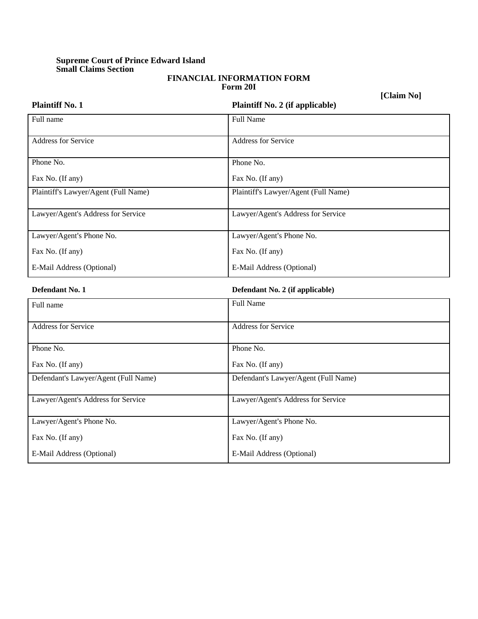## **Supreme Court of Prince Edward Island Small Claims Section**

## **FINANCIAL INFORMATION FORM Form 20I**

**[Claim No]**

| <b>Plaintiff No. 1</b>               | <b>LORINI IA</b><br>Plaintiff No. 2 (if applicable) |
|--------------------------------------|-----------------------------------------------------|
| Full name                            | <b>Full Name</b>                                    |
| Address for Service                  | <b>Address for Service</b>                          |
| Phone No.                            | Phone No.                                           |
| Fax No. (If any)                     | Fax No. (If any)                                    |
| Plaintiff's Lawyer/Agent (Full Name) | Plaintiff's Lawyer/Agent (Full Name)                |
| Lawyer/Agent's Address for Service   | Lawyer/Agent's Address for Service                  |
| Lawyer/Agent's Phone No.             | Lawyer/Agent's Phone No.                            |
| Fax No. (If any)                     | Fax No. (If any)                                    |
| E-Mail Address (Optional)            | E-Mail Address (Optional)                           |
| Defendant No. 1                      | Defendant No. 2 (if applicable)                     |
| Full name                            | <b>Full Name</b>                                    |
| <b>Address for Service</b>           | <b>Address for Service</b>                          |
| Phone No.                            | Phone No.                                           |
| Fax No. (If any)                     | Fax No. (If any)                                    |
| Defendant's Lawyer/Agent (Full Name) | Defendant's Lawyer/Agent (Full Name)                |
| Lawyer/Agent's Address for Service   | Lawyer/Agent's Address for Service                  |
| Lawyer/Agent's Phone No.             | Lawyer/Agent's Phone No.                            |
| Fax No. (If any)                     | Fax No. (If any)                                    |
| E-Mail Address (Optional)            | E-Mail Address (Optional)                           |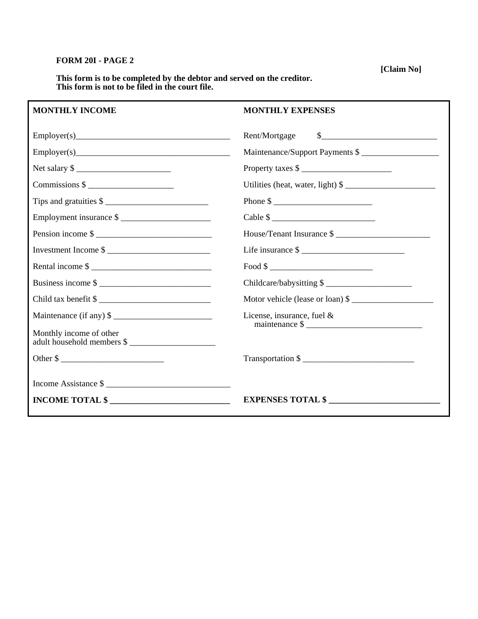## **FORM 20I - PAGE 2**

**[Claim No]** 

**This form is to be completed by the debtor and served on the creditor. This form is not to be filed in the court file.** 

## **MONTHLY INCOME**

|                                                       | $\frac{1}{2}$<br>Rent/Mortgage          |
|-------------------------------------------------------|-----------------------------------------|
|                                                       | Maintenance/Support Payments \$         |
| Net salary \$                                         | Property taxes \$                       |
| $Commissions$ $\longleftarrow$                        | Utilities (heat, water, light) \$       |
|                                                       | Phone $\frac{\text{}}{\text{}}$         |
| Employment insurance \$                               | Cable $\frac{\sqrt{2}}{2}$              |
| Pension income \$                                     | House/Tenant Insurance \$               |
| Investment Income \$                                  |                                         |
| Rental income \$                                      | $\text{Food }$ \$                       |
| Business income \$                                    | Childcare/babysitting \$                |
| Child tax benefit \$                                  | Motor vehicle (lease or loan) \$        |
|                                                       | License, insurance, fuel $\&$           |
| Monthly income of other<br>adult household members \$ | maintenance $\frac{\text{S}}{\text{S}}$ |
| Other \$                                              | Transportation \$                       |
|                                                       |                                         |
|                                                       | EXPENSES TOTAL \$                       |